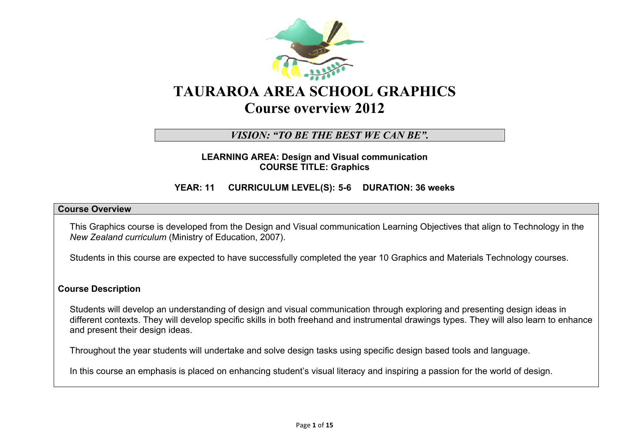

# **TAURAROA AREA SCHOOL GRAPHICS Course overview 2012**

## *VISION: "TO BE THE BEST WE CAN BE".*

**LEARNING AREA: Design and Visual communication COURSE TITLE: Graphics**

### **YEAR: 11 CURRICULUM LEVEL(S): 5-6 DURATION: 36 weeks**

### **Course Overview**

This Graphics course is developed from the Design and Visual communication Learning Objectives that align to Technology in the *New Zealand curriculum* (Ministry of Education, 2007).

Students in this course are expected to have successfully completed the year 10 Graphics and Materials Technology courses.

### **Course Description**

Students will develop an understanding of design and visual communication through exploring and presenting design ideas in different contexts. They will develop specific skills in both freehand and instrumental drawings types. They will also learn to enhance and present their design ideas.

Throughout the year students will undertake and solve design tasks using specific design based tools and language.

In this course an emphasis is placed on enhancing student's visual literacy and inspiring a passion for the world of design.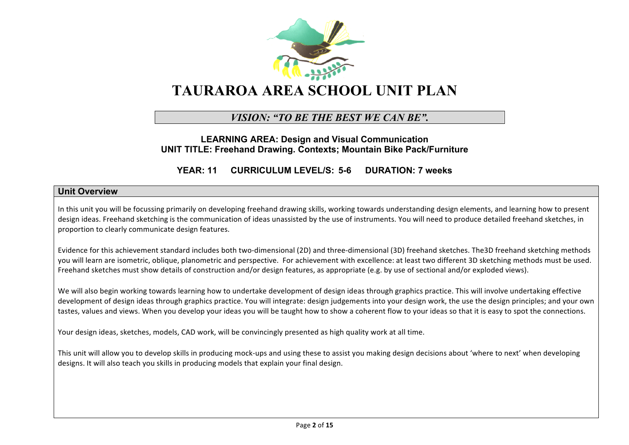

# *VISION: "TO BE THE BEST WE CAN BE".*

### **LEARNING AREA: Design and Visual Communication UNIT TITLE: Freehand Drawing. Contexts; Mountain Bike Pack/Furniture**

**YEAR: 11 CURRICULUM LEVEL/S: 5-6 DURATION: 7 weeks**

#### **Unit Overview**

In this unit you will be focussing primarily on developing freehand drawing skills, working towards understanding design elements, and learning how to present design ideas. Freehand sketching is the communication of ideas unassisted by the use of instruments. You will need to produce detailed freehand sketches, in proportion to clearly communicate design features.

Evidence for this achievement standard includes both two-dimensional (2D) and three-dimensional (3D) freehand sketches. The3D freehand sketching methods you will learn are isometric, oblique, planometric and perspective. For achievement with excellence: at least two different 3D sketching methods must be used. Freehand sketches must show details of construction and/or design features, as appropriate (e.g. by use of sectional and/or exploded views).

We will also begin working towards learning how to undertake development of design ideas through graphics practice. This will involve undertaking effective development of design ideas through graphics practice. You will integrate: design judgements into your design work, the use the design principles; and your own tastes, values and views. When you develop your ideas you will be taught how to show a coherent flow to your ideas so that it is easy to spot the connections.

Your design ideas, sketches, models, CAD work, will be convincingly presented as high quality work at all time.

This unit will allow you to develop skills in producing mock-ups and using these to assist you making design decisions about 'where to next' when developing designs. It will also teach you skills in producing models that explain your final design.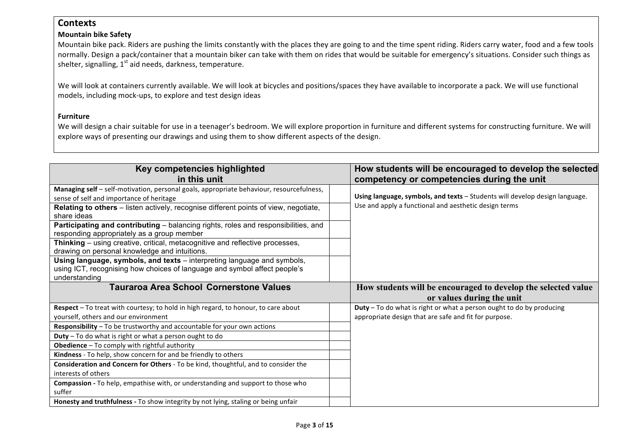## **Contexts**

### **Mountain bike Safety**

Mountain bike pack. Riders are pushing the limits constantly with the places they are going to and the time spent riding. Riders carry water, food and a few tools normally. Design a pack/container that a mountain biker can take with them on rides that would be suitable for emergency's situations. Consider such things as shelter, signalling,  $1<sup>st</sup>$  aid needs, darkness, temperature.

We will look at containers currently available. We will look at bicycles and positions/spaces they have available to incorporate a pack. We will use functional models, including mock-ups, to explore and test design ideas

### **Furniture**

We will design a chair suitable for use in a teenager's bedroom. We will explore proportion in furniture and different systems for constructing furniture. We will explore ways of presenting our drawings and using them to show different aspects of the design.

| Key competencies highlighted                                                                                                                                          | How students will be encouraged to develop the selected                                    |
|-----------------------------------------------------------------------------------------------------------------------------------------------------------------------|--------------------------------------------------------------------------------------------|
| in this unit                                                                                                                                                          | competency or competencies during the unit                                                 |
| Managing self - self-motivation, personal goals, appropriate behaviour, resourcefulness,<br>sense of self and importance of heritage                                  | Using language, symbols, and texts - Students will develop design language.                |
| Relating to others - listen actively, recognise different points of view, negotiate,<br>share ideas                                                                   | Use and apply a functional and aesthetic design terms                                      |
| Participating and contributing – balancing rights, roles and responsibilities, and<br>responding appropriately as a group member                                      |                                                                                            |
| Thinking – using creative, critical, metacognitive and reflective processes,<br>drawing on personal knowledge and intuitions.                                         |                                                                                            |
| Using language, symbols, and texts – interpreting language and symbols,<br>using ICT, recognising how choices of language and symbol affect people's<br>understanding |                                                                                            |
| <b>Tauraroa Area School Cornerstone Values</b>                                                                                                                        | How students will be encouraged to develop the selected value<br>or values during the unit |
| Respect - To treat with courtesy; to hold in high regard, to honour, to care about                                                                                    | Duty - To do what is right or what a person ought to do by producing                       |
| yourself, others and our environment<br>Responsibility - To be trustworthy and accountable for your own actions                                                       | appropriate design that are safe and fit for purpose.                                      |
| $Duty - To do what is right or what a person ought to do$                                                                                                             |                                                                                            |
| Obedience - To comply with rightful authority                                                                                                                         |                                                                                            |
| Kindness - To help, show concern for and be friendly to others                                                                                                        |                                                                                            |
| Consideration and Concern for Others - To be kind, thoughtful, and to consider the<br>interests of others                                                             |                                                                                            |
| Compassion - To help, empathise with, or understanding and support to those who<br>suffer                                                                             |                                                                                            |
|                                                                                                                                                                       |                                                                                            |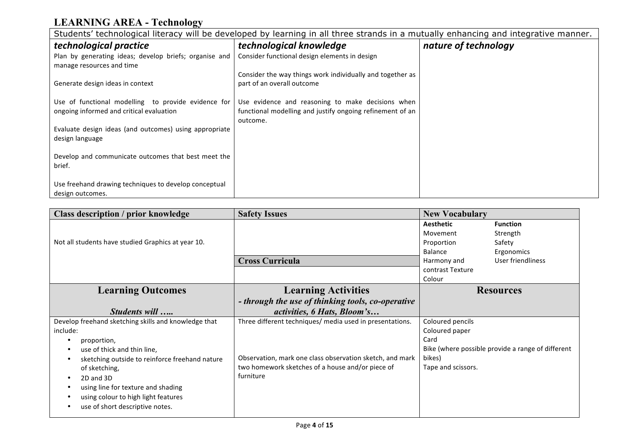# **LEARNING AREA - Technology**

| Students' technological literacy will be developed by learning in all three strands in a mutually enhancing and integrative manner. |                                                                                         |                      |  |
|-------------------------------------------------------------------------------------------------------------------------------------|-----------------------------------------------------------------------------------------|----------------------|--|
| technological practice                                                                                                              | technological knowledge                                                                 | nature of technology |  |
| Plan by generating ideas; develop briefs; organise and<br>manage resources and time                                                 | Consider functional design elements in design                                           |                      |  |
| Generate design ideas in context                                                                                                    | Consider the way things work individually and together as<br>part of an overall outcome |                      |  |
| Use of functional modelling to provide evidence for                                                                                 | Use evidence and reasoning to make decisions when                                       |                      |  |
| ongoing informed and critical evaluation                                                                                            | functional modelling and justify ongoing refinement of an<br>outcome.                   |                      |  |
| Evaluate design ideas (and outcomes) using appropriate<br>design language                                                           |                                                                                         |                      |  |
| Develop and communicate outcomes that best meet the<br>brief.                                                                       |                                                                                         |                      |  |
| Use freehand drawing techniques to develop conceptual                                                                               |                                                                                         |                      |  |
| design outcomes.                                                                                                                    |                                                                                         |                      |  |

| <b>Class description / prior knowledge</b>                                                                                                                                                                                                                                                                                  | <b>Safety Issues</b>                                                                                                                                                                  | <b>New Vocabulary</b>                                                                                                                                                          |  |
|-----------------------------------------------------------------------------------------------------------------------------------------------------------------------------------------------------------------------------------------------------------------------------------------------------------------------------|---------------------------------------------------------------------------------------------------------------------------------------------------------------------------------------|--------------------------------------------------------------------------------------------------------------------------------------------------------------------------------|--|
| Not all students have studied Graphics at year 10.                                                                                                                                                                                                                                                                          | <b>Cross Curricula</b>                                                                                                                                                                | <b>Aesthetic</b><br><b>Function</b><br>Movement<br>Strength<br>Proportion<br>Safety<br>Balance<br>Ergonomics<br>User friendliness<br>Harmony and<br>contrast Texture<br>Colour |  |
| <b>Learning Outcomes</b>                                                                                                                                                                                                                                                                                                    | <b>Learning Activities</b>                                                                                                                                                            | <b>Resources</b>                                                                                                                                                               |  |
| Students will                                                                                                                                                                                                                                                                                                               | - through the use of thinking tools, co-operative<br>activities, 6 Hats, Bloom's                                                                                                      |                                                                                                                                                                                |  |
| Develop freehand sketching skills and knowledge that<br>include:<br>proportion,<br>use of thick and thin line,<br>sketching outside to reinforce freehand nature<br>of sketching,<br>2D and 3D<br>$\bullet$<br>using line for texture and shading<br>using colour to high light features<br>use of short descriptive notes. | Three different techniques/ media used in presentations.<br>Observation, mark one class observation sketch, and mark<br>two homework sketches of a house and/or piece of<br>furniture | Coloured pencils<br>Coloured paper<br>Card<br>Bike (where possible provide a range of different<br>bikes)<br>Tape and scissors.                                                |  |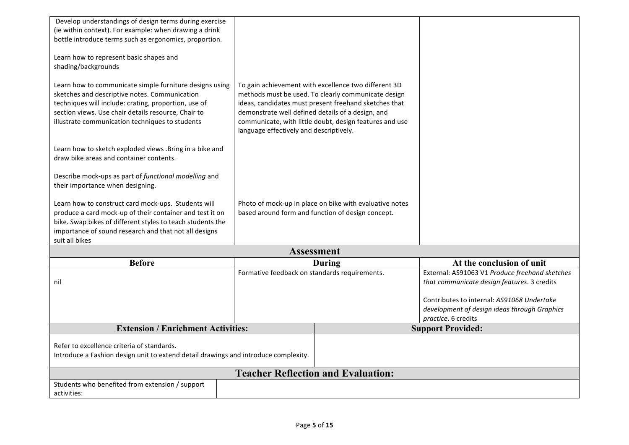| Develop understandings of design terms during exercise                              |                                                   |                                                         |                                                |
|-------------------------------------------------------------------------------------|---------------------------------------------------|---------------------------------------------------------|------------------------------------------------|
| (ie within context). For example: when drawing a drink                              |                                                   |                                                         |                                                |
| bottle introduce terms such as ergonomics, proportion.                              |                                                   |                                                         |                                                |
|                                                                                     |                                                   |                                                         |                                                |
| Learn how to represent basic shapes and                                             |                                                   |                                                         |                                                |
| shading/backgrounds                                                                 |                                                   |                                                         |                                                |
|                                                                                     |                                                   |                                                         |                                                |
| Learn how to communicate simple furniture designs using                             |                                                   | To gain achievement with excellence two different 3D    |                                                |
| sketches and descriptive notes. Communication                                       |                                                   | methods must be used. To clearly communicate design     |                                                |
| techniques will include: crating, proportion, use of                                |                                                   | ideas, candidates must present freehand sketches that   |                                                |
| section views. Use chair details resource, Chair to                                 | demonstrate well defined details of a design, and |                                                         |                                                |
| illustrate communication techniques to students                                     |                                                   | communicate, with little doubt, design features and use |                                                |
|                                                                                     | language effectively and descriptively.           |                                                         |                                                |
|                                                                                     |                                                   |                                                         |                                                |
| Learn how to sketch exploded views . Bring in a bike and                            |                                                   |                                                         |                                                |
| draw bike areas and container contents.                                             |                                                   |                                                         |                                                |
| Describe mock-ups as part of functional modelling and                               |                                                   |                                                         |                                                |
| their importance when designing.                                                    |                                                   |                                                         |                                                |
|                                                                                     |                                                   |                                                         |                                                |
| Learn how to construct card mock-ups. Students will                                 |                                                   | Photo of mock-up in place on bike with evaluative notes |                                                |
| produce a card mock-up of their container and test it on                            |                                                   | based around form and function of design concept.       |                                                |
| bike. Swap bikes of different styles to teach students the                          |                                                   |                                                         |                                                |
| importance of sound research and that not all designs                               |                                                   |                                                         |                                                |
| suit all bikes                                                                      |                                                   |                                                         |                                                |
|                                                                                     |                                                   | <b>Assessment</b>                                       |                                                |
| <b>Before</b>                                                                       |                                                   | During                                                  | At the conclusion of unit                      |
|                                                                                     | Formative feedback on standards requirements.     |                                                         | External: AS91063 V1 Produce freehand sketches |
| nil                                                                                 |                                                   |                                                         | that communicate design features. 3 credits    |
|                                                                                     |                                                   |                                                         |                                                |
|                                                                                     |                                                   |                                                         | Contributes to internal: AS91068 Undertake     |
|                                                                                     |                                                   |                                                         | development of design ideas through Graphics   |
| <b>Extension / Enrichment Activities:</b>                                           |                                                   |                                                         | practice. 6 credits                            |
|                                                                                     |                                                   |                                                         | <b>Support Provided:</b>                       |
| Refer to excellence criteria of standards.                                          |                                                   |                                                         |                                                |
| Introduce a Fashion design unit to extend detail drawings and introduce complexity. |                                                   |                                                         |                                                |
|                                                                                     |                                                   |                                                         |                                                |
|                                                                                     | <b>Teacher Reflection and Evaluation:</b>         |                                                         |                                                |
| Students who benefited from extension / support                                     |                                                   |                                                         |                                                |
| activities:                                                                         |                                                   |                                                         |                                                |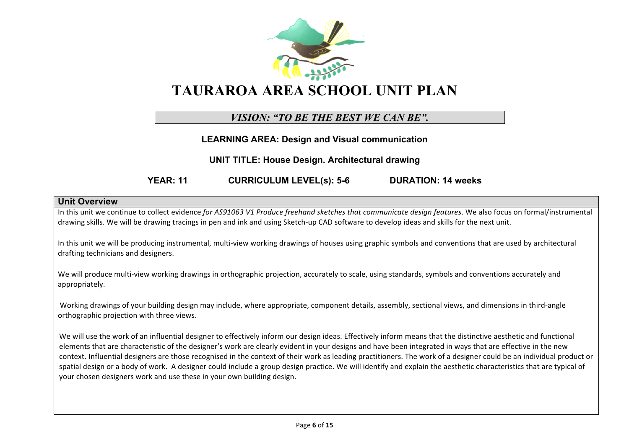

# **TAURAROA AREA SCHOOL UNIT PLAN**

# *VISION: "TO BE THE BEST WE CAN BE".*

**LEARNING AREA: Design and Visual communication**

**UNIT TITLE: House Design. Architectural drawing**

**YEAR: 11 CURRICULUM LEVEL(s): 5-6 DURATION: 14 weeks**

### **Unit Overview**

In this unit we continue to collect evidence *for AS91063 V1 Produce freehand sketches that communicate design features*. We also focus on formal/instrumental drawing skills. We will be drawing tracings in pen and ink and using Sketch-up CAD software to develop ideas and skills for the next unit.

In this unit we will be producing instrumental, multi-view working drawings of houses using graphic symbols and conventions that are used by architectural drafting technicians and designers.

We will produce multi-view working drawings in orthographic projection, accurately to scale, using standards, symbols and conventions accurately and appropriately.

Working drawings of your building design may include, where appropriate, component details, assembly, sectional views, and dimensions in third-angle orthographic projection with three views.

We will use the work of an influential designer to effectively inform our design ideas. Effectively inform means that the distinctive aesthetic and functional elements that are characteristic of the designer's work are clearly evident in your designs and have been integrated in ways that are effective in the new context. Influential designers are those recognised in the context of their work as leading practitioners. The work of a designer could be an individual product or spatial design or a body of work. A designer could include a group design practice. We will identify and explain the aesthetic characteristics that are typical of your chosen designers work and use these in your own building design.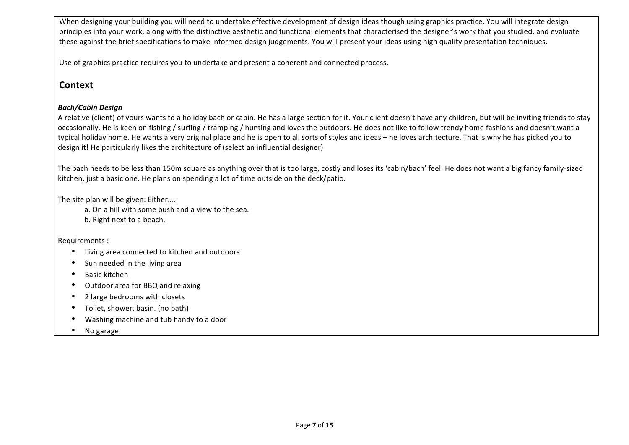When designing your building you will need to undertake effective development of design ideas though using graphics practice. You will integrate design principles into your work, along with the distinctive aesthetic and functional elements that characterised the designer's work that you studied, and evaluate these against the brief specifications to make informed design judgements. You will present your ideas using high quality presentation techniques.

Use of graphics practice requires you to undertake and present a coherent and connected process.

## **Context**

### *Bach/Cabin+Design*

A relative (client) of yours wants to a holiday bach or cabin. He has a large section for it. Your client doesn't have any children, but will be inviting friends to stay occasionally. He is keen on fishing / surfing / tramping / hunting and loves the outdoors. He does not like to follow trendy home fashions and doesn't want a typical holiday home. He wants a very original place and he is open to all sorts of styles and ideas – he loves architecture. That is why he has picked you to design it! He particularly likes the architecture of (select an influential designer)

The bach needs to be less than 150m square as anything over that is too large, costly and loses its 'cabin/bach' feel. He does not want a big fancy family-sized kitchen, just a basic one. He plans on spending a lot of time outside on the deck/patio.

The site plan will be given: Either....

a. On a hill with some bush and a view to the sea. b. Right next to a beach.

Requirements :

- Living area connected to kitchen and outdoors
- $\bullet$  Sun needed in the living area
- Basic kitchen
- Outdoor area for BBQ and relaxing
- 2 large bedrooms with closets
- Toilet, shower, basin. (no bath)
- Washing machine and tub handy to a door
- $\bullet$  No garage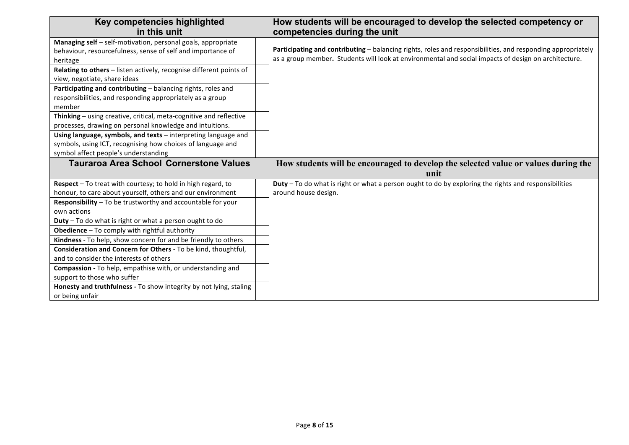| Key competencies highlighted                                        | How students will be encouraged to develop the selected competency or                                       |
|---------------------------------------------------------------------|-------------------------------------------------------------------------------------------------------------|
| in this unit                                                        | competencies during the unit                                                                                |
| Managing self - self-motivation, personal goals, appropriate        |                                                                                                             |
| behaviour, resourcefulness, sense of self and importance of         | Participating and contributing - balancing rights, roles and responsibilities, and responding appropriately |
| heritage                                                            | as a group member. Students will look at environmental and social impacts of design on architecture.        |
| Relating to others - listen actively, recognise different points of |                                                                                                             |
| view, negotiate, share ideas                                        |                                                                                                             |
| Participating and contributing - balancing rights, roles and        |                                                                                                             |
| responsibilities, and responding appropriately as a group           |                                                                                                             |
| member                                                              |                                                                                                             |
| Thinking - using creative, critical, meta-cognitive and reflective  |                                                                                                             |
| processes, drawing on personal knowledge and intuitions.            |                                                                                                             |
| Using language, symbols, and texts - interpreting language and      |                                                                                                             |
| symbols, using ICT, recognising how choices of language and         |                                                                                                             |
| symbol affect people's understanding                                |                                                                                                             |
| <b>Tauraroa Area School Cornerstone Values</b>                      | How students will be encouraged to develop the selected value or values during the                          |
|                                                                     |                                                                                                             |
|                                                                     | unit                                                                                                        |
| Respect - To treat with courtesy; to hold in high regard, to        | Duty - To do what is right or what a person ought to do by exploring the rights and responsibilities        |
| honour, to care about yourself, others and our environment          | around house design.                                                                                        |
| Responsibility - To be trustworthy and accountable for your         |                                                                                                             |
| own actions                                                         |                                                                                                             |
| Duty - To do what is right or what a person ought to do             |                                                                                                             |
| Obedience - To comply with rightful authority                       |                                                                                                             |
| Kindness - To help, show concern for and be friendly to others      |                                                                                                             |
| Consideration and Concern for Others - To be kind, thoughtful,      |                                                                                                             |
| and to consider the interests of others                             |                                                                                                             |
| Compassion - To help, empathise with, or understanding and          |                                                                                                             |
| support to those who suffer                                         |                                                                                                             |
| Honesty and truthfulness - To show integrity by not lying, staling  |                                                                                                             |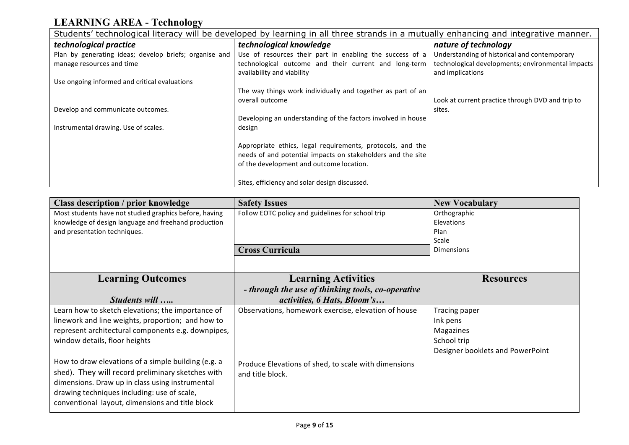# **LEARNING AREA - Technology**

| Students' technological literacy will be developed by learning in all three strands in a mutually enhancing and integrative manner. |                                                              |                                                   |  |
|-------------------------------------------------------------------------------------------------------------------------------------|--------------------------------------------------------------|---------------------------------------------------|--|
| technological practice                                                                                                              | technological knowledge                                      | nature of technology                              |  |
| Plan by generating ideas; develop briefs; organise and                                                                              | Use of resources their part in enabling the success of a     | Understanding of historical and contemporary      |  |
| manage resources and time                                                                                                           | technological outcome and their current and long-term        | technological developments; environmental impacts |  |
|                                                                                                                                     | availability and viability                                   | and implications                                  |  |
| Use ongoing informed and critical evaluations                                                                                       |                                                              |                                                   |  |
|                                                                                                                                     | The way things work individually and together as part of an  |                                                   |  |
|                                                                                                                                     | overall outcome                                              | Look at current practice through DVD and trip to  |  |
| Develop and communicate outcomes.                                                                                                   |                                                              | sites.                                            |  |
|                                                                                                                                     | Developing an understanding of the factors involved in house |                                                   |  |
| Instrumental drawing. Use of scales.                                                                                                | design                                                       |                                                   |  |
|                                                                                                                                     |                                                              |                                                   |  |
|                                                                                                                                     | Appropriate ethics, legal requirements, protocols, and the   |                                                   |  |
|                                                                                                                                     | needs of and potential impacts on stakeholders and the site  |                                                   |  |
|                                                                                                                                     | of the development and outcome location.                     |                                                   |  |
|                                                                                                                                     |                                                              |                                                   |  |
|                                                                                                                                     | Sites, efficiency and solar design discussed.                |                                                   |  |

| <b>Safety Issues</b>                                | <b>New Vocabulary</b>                                                          |
|-----------------------------------------------------|--------------------------------------------------------------------------------|
| Follow EOTC policy and guidelines for school trip   | Orthographic                                                                   |
|                                                     | <b>Elevations</b>                                                              |
|                                                     | Plan                                                                           |
|                                                     | Scale<br><b>Dimensions</b>                                                     |
|                                                     |                                                                                |
|                                                     |                                                                                |
| <b>Learning Activities</b>                          | <b>Resources</b>                                                               |
| - through the use of thinking tools, co-operative   |                                                                                |
| activities, 6 Hats, Bloom's                         |                                                                                |
| Observations, homework exercise, elevation of house | Tracing paper                                                                  |
|                                                     | Ink pens                                                                       |
|                                                     | Magazines                                                                      |
|                                                     | School trip                                                                    |
|                                                     | Designer booklets and PowerPoint                                               |
|                                                     |                                                                                |
| and title block.                                    |                                                                                |
|                                                     |                                                                                |
|                                                     |                                                                                |
|                                                     |                                                                                |
|                                                     | <b>Cross Curricula</b><br>Produce Elevations of shed, to scale with dimensions |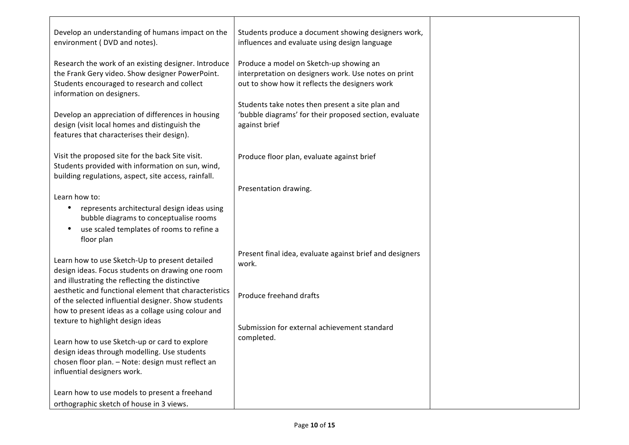| Develop an understanding of humans impact on the<br>environment (DVD and notes).                                                                                                    | Students produce a document showing designers work,<br>influences and evaluate using design language                                              |  |
|-------------------------------------------------------------------------------------------------------------------------------------------------------------------------------------|---------------------------------------------------------------------------------------------------------------------------------------------------|--|
| Research the work of an existing designer. Introduce<br>the Frank Gery video. Show designer PowerPoint.<br>Students encouraged to research and collect<br>information on designers. | Produce a model on Sketch-up showing an<br>interpretation on designers work. Use notes on print<br>out to show how it reflects the designers work |  |
| Develop an appreciation of differences in housing<br>design (visit local homes and distinguish the<br>features that characterises their design).                                    | Students take notes then present a site plan and<br>'bubble diagrams' for their proposed section, evaluate<br>against brief                       |  |
| Visit the proposed site for the back Site visit.<br>Students provided with information on sun, wind,<br>building regulations, aspect, site access, rainfall.                        | Produce floor plan, evaluate against brief                                                                                                        |  |
| Learn how to:                                                                                                                                                                       | Presentation drawing.                                                                                                                             |  |
| represents architectural design ideas using<br>bubble diagrams to conceptualise rooms<br>use scaled templates of rooms to refine a                                                  |                                                                                                                                                   |  |
| floor plan                                                                                                                                                                          |                                                                                                                                                   |  |
| Learn how to use Sketch-Up to present detailed<br>design ideas. Focus students on drawing one room<br>and illustrating the reflecting the distinctive                               | Present final idea, evaluate against brief and designers<br>work.                                                                                 |  |
| aesthetic and functional element that characteristics<br>of the selected influential designer. Show students<br>how to present ideas as a collage using colour and                  | Produce freehand drafts                                                                                                                           |  |
| texture to highlight design ideas                                                                                                                                                   | Submission for external achievement standard                                                                                                      |  |
| Learn how to use Sketch-up or card to explore<br>design ideas through modelling. Use students                                                                                       | completed.                                                                                                                                        |  |
| chosen floor plan. - Note: design must reflect an<br>influential designers work.                                                                                                    |                                                                                                                                                   |  |
| Learn how to use models to present a freehand<br>orthographic sketch of house in 3 views.                                                                                           |                                                                                                                                                   |  |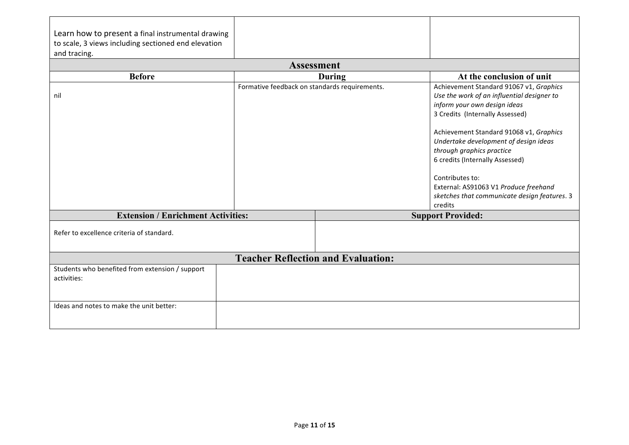| Learn how to present a final instrumental drawing   |                                               |                                           |                                              |
|-----------------------------------------------------|-----------------------------------------------|-------------------------------------------|----------------------------------------------|
| to scale, 3 views including sectioned end elevation |                                               |                                           |                                              |
| and tracing.                                        |                                               |                                           |                                              |
|                                                     |                                               | <b>Assessment</b>                         |                                              |
| <b>Before</b>                                       |                                               | During                                    | At the conclusion of unit                    |
|                                                     | Formative feedback on standards requirements. |                                           | Achievement Standard 91067 v1, Graphics      |
| nil                                                 |                                               |                                           | Use the work of an influential designer to   |
|                                                     |                                               |                                           | inform your own design ideas                 |
|                                                     |                                               |                                           | 3 Credits (Internally Assessed)              |
|                                                     |                                               |                                           | Achievement Standard 91068 v1, Graphics      |
|                                                     |                                               |                                           | Undertake development of design ideas        |
|                                                     |                                               |                                           | through graphics practice                    |
|                                                     |                                               |                                           | 6 credits (Internally Assessed)              |
|                                                     |                                               |                                           |                                              |
|                                                     |                                               |                                           | Contributes to:                              |
|                                                     |                                               |                                           | External: AS91063 V1 Produce freehand        |
|                                                     |                                               |                                           | sketches that communicate design features. 3 |
|                                                     |                                               |                                           | credits                                      |
| <b>Extension / Enrichment Activities:</b>           |                                               |                                           | <b>Support Provided:</b>                     |
| Refer to excellence criteria of standard.           |                                               |                                           |                                              |
|                                                     |                                               |                                           |                                              |
|                                                     |                                               |                                           |                                              |
|                                                     |                                               | <b>Teacher Reflection and Evaluation:</b> |                                              |
| Students who benefited from extension / support     |                                               |                                           |                                              |
| activities:                                         |                                               |                                           |                                              |
|                                                     |                                               |                                           |                                              |
| Ideas and notes to make the unit better:            |                                               |                                           |                                              |
|                                                     |                                               |                                           |                                              |
|                                                     |                                               |                                           |                                              |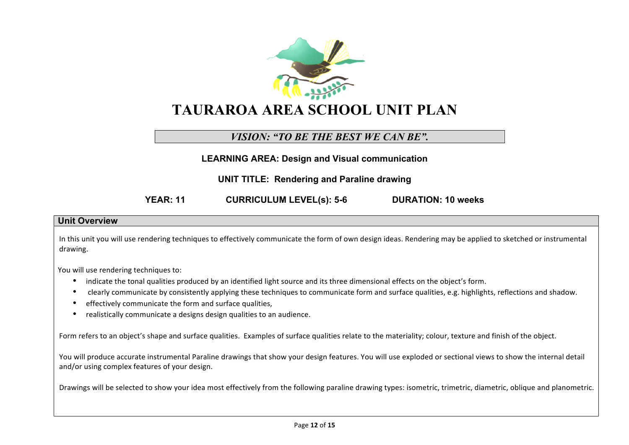

# **TAURAROA AREA SCHOOL UNIT PLAN**

# *VISION: "TO BE THE BEST WE CAN BE".*

**LEARNING AREA: Design and Visual communication**

**UNIT TITLE: Rendering and Paraline drawing**

**YEAR: 11 CURRICULUM LEVEL(s): 5-6 DURATION: 10 weeks**

#### **Unit Overview**

In this unit you will use rendering techniques to effectively communicate the form of own design ideas. Rendering may be applied to sketched or instrumental drawing.

You will use rendering techniques to:

- indicate the tonal qualities produced by an identified light source and its three dimensional effects on the object's form.
- clearly communicate by consistently applying these techniques to communicate form and surface qualities, e.g. highlights, reflections and shadow.
- effectively communicate the form and surface qualities,
- realistically communicate a designs design qualities to an audience.

Form refers to an object's shape and surface qualities. Examples of surface qualities relate to the materiality; colour, texture and finish of the object.

You will produce accurate instrumental Paraline drawings that show your design features. You will use exploded or sectional views to show the internal detail and/or using complex features of your design.

Drawings will be selected to show your idea most effectively from the following paraline drawing types: isometric, trimetric, diametric, oblique and planometric.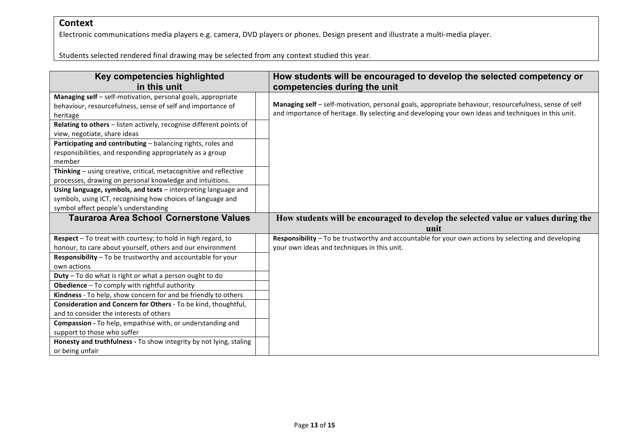## **Context**

Electronic communications media players e.g. camera, DVD players or phones. Design present and illustrate a multi-media player.

Students selected rendered final drawing may be selected from any context studied this year.

| Key competencies highlighted                                        | How students will be encouraged to develop the selected competency or                                  |
|---------------------------------------------------------------------|--------------------------------------------------------------------------------------------------------|
| in this unit                                                        | competencies during the unit                                                                           |
| Managing self - self-motivation, personal goals, appropriate        |                                                                                                        |
| behaviour, resourcefulness, sense of self and importance of         | Managing self - self-motivation, personal goals, appropriate behaviour, resourcefulness, sense of self |
| heritage                                                            | and importance of heritage. By selecting and developing your own ideas and techniques in this unit.    |
| Relating to others - listen actively, recognise different points of |                                                                                                        |
| view, negotiate, share ideas                                        |                                                                                                        |
| Participating and contributing - balancing rights, roles and        |                                                                                                        |
| responsibilities, and responding appropriately as a group           |                                                                                                        |
| member                                                              |                                                                                                        |
| Thinking - using creative, critical, metacognitive and reflective   |                                                                                                        |
| processes, drawing on personal knowledge and intuitions.            |                                                                                                        |
| Using language, symbols, and texts - interpreting language and      |                                                                                                        |
| symbols, using ICT, recognising how choices of language and         |                                                                                                        |
| symbol affect people's understanding                                |                                                                                                        |
| <b>Tauraroa Area School Cornerstone Values</b>                      |                                                                                                        |
|                                                                     | How students will be encouraged to develop the selected value or values during the                     |
|                                                                     | unit                                                                                                   |
| Respect - To treat with courtesy; to hold in high regard, to        | Responsibility - To be trustworthy and accountable for your own actions by selecting and developing    |
| honour, to care about yourself, others and our environment          | your own ideas and techniques in this unit.                                                            |
| Responsibility - To be trustworthy and accountable for your         |                                                                                                        |
| own actions                                                         |                                                                                                        |
| Duty - To do what is right or what a person ought to do             |                                                                                                        |
| Obedience - To comply with rightful authority                       |                                                                                                        |
| Kindness - To help, show concern for and be friendly to others      |                                                                                                        |
| Consideration and Concern for Others - To be kind, thoughtful,      |                                                                                                        |
| and to consider the interests of others                             |                                                                                                        |
| Compassion - To help, empathise with, or understanding and          |                                                                                                        |
| support to those who suffer                                         |                                                                                                        |
| Honesty and truthfulness - To show integrity by not lying, staling  |                                                                                                        |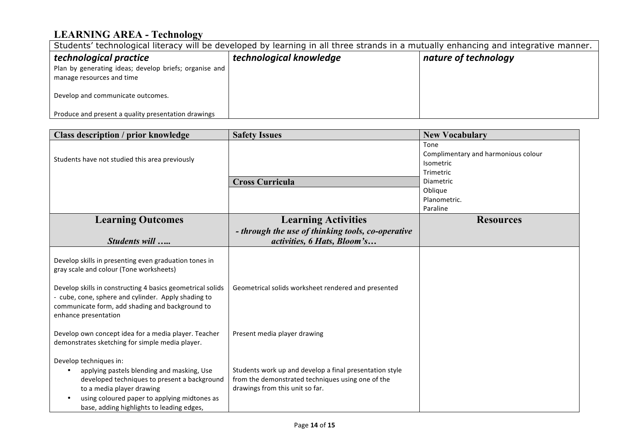# **LEARNING AREA - Technology**

| Students' technological literacy will be developed by learning in all three strands in a mutually enhancing and integrative manner. |                         |                      |  |
|-------------------------------------------------------------------------------------------------------------------------------------|-------------------------|----------------------|--|
| technological practice<br>Plan by generating ideas; develop briefs; organise and<br>manage resources and time                       | technological knowledge | nature of technology |  |
| Develop and communicate outcomes.                                                                                                   |                         |                      |  |
| Produce and present a quality presentation drawings                                                                                 |                         |                      |  |

| <b>Class description / prior knowledge</b>                                                                                                                                                                                                                               | <b>Safety Issues</b>                                                                                                                            | <b>New Vocabulary</b>                                                              |
|--------------------------------------------------------------------------------------------------------------------------------------------------------------------------------------------------------------------------------------------------------------------------|-------------------------------------------------------------------------------------------------------------------------------------------------|------------------------------------------------------------------------------------|
| Students have not studied this area previously                                                                                                                                                                                                                           | <b>Cross Curricula</b>                                                                                                                          | Tone<br>Complimentary and harmonious colour<br>Isometric<br>Trimetric<br>Diametric |
|                                                                                                                                                                                                                                                                          |                                                                                                                                                 | Oblique<br>Planometric.<br>Paraline                                                |
| <b>Learning Outcomes</b>                                                                                                                                                                                                                                                 | <b>Learning Activities</b>                                                                                                                      | <b>Resources</b>                                                                   |
| Students will                                                                                                                                                                                                                                                            | - through the use of thinking tools, co-operative<br>activities, 6 Hats, Bloom's                                                                |                                                                                    |
| Develop skills in presenting even graduation tones in<br>gray scale and colour (Tone worksheets)<br>Develop skills in constructing 4 basics geometrical solids<br>- cube, cone, sphere and cylinder. Apply shading to<br>communicate form, add shading and background to | Geometrical solids worksheet rendered and presented                                                                                             |                                                                                    |
| enhance presentation<br>Develop own concept idea for a media player. Teacher<br>demonstrates sketching for simple media player.                                                                                                                                          | Present media player drawing                                                                                                                    |                                                                                    |
| Develop techniques in:<br>applying pastels blending and masking, Use<br>developed techniques to present a background<br>to a media player drawing<br>using coloured paper to applying midtones as<br>base, adding highlights to leading edges,                           | Students work up and develop a final presentation style<br>from the demonstrated techniques using one of the<br>drawings from this unit so far. |                                                                                    |